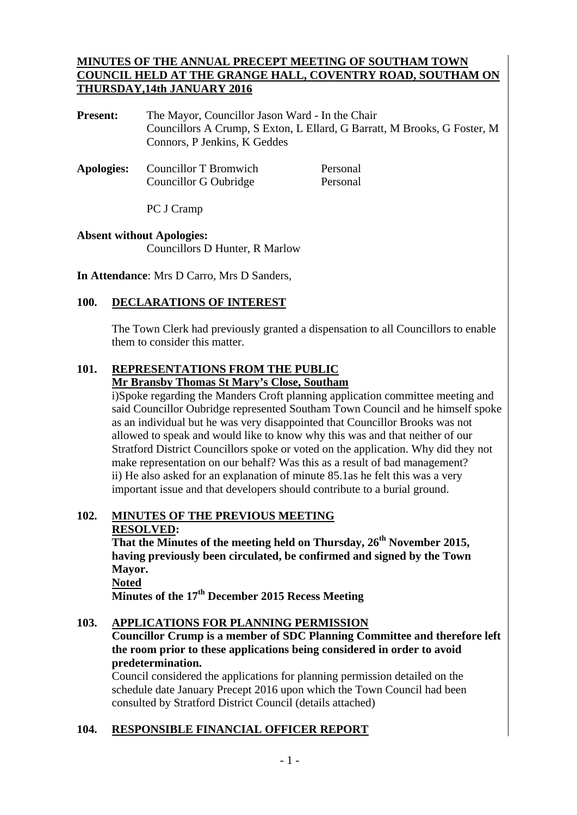#### **MINUTES OF THE ANNUAL PRECEPT MEETING OF SOUTHAM TOWN COUNCIL HELD AT THE GRANGE HALL, COVENTRY ROAD, SOUTHAM ON THURSDAY,14th JANUARY 2016**

**Present:** The Mayor, Councillor Jason Ward - In the Chair Councillors A Crump, S Exton, L Ellard, G Barratt, M Brooks, G Foster, M Connors, P Jenkins, K Geddes

Apologies: Councillor T Bromwich Personal Councillor G Oubridge Personal

PC J Cramp

# **Absent without Apologies:**  Councillors D Hunter, R Marlow

**In Attendance**: Mrs D Carro, Mrs D Sanders,

### **100. DECLARATIONS OF INTEREST**

The Town Clerk had previously granted a dispensation to all Councillors to enable them to consider this matter.

#### **101. REPRESENTATIONS FROM THE PUBLIC Mr Bransby Thomas St Mary's Close, Southam**

i)Spoke regarding the Manders Croft planning application committee meeting and said Councillor Oubridge represented Southam Town Council and he himself spoke as an individual but he was very disappointed that Councillor Brooks was not allowed to speak and would like to know why this was and that neither of our Stratford District Councillors spoke or voted on the application. Why did they not make representation on our behalf? Was this as a result of bad management? ii) He also asked for an explanation of minute 85.1as he felt this was a very important issue and that developers should contribute to a burial ground.

# **102. MINUTES OF THE PREVIOUS MEETING RESOLVED:**

**That the Minutes of the meeting held on Thursday, 26th November 2015, having previously been circulated, be confirmed and signed by the Town Mayor. Noted**

**Minutes of the 17th December 2015 Recess Meeting** 

#### **103. APPLICATIONS FOR PLANNING PERMISSION**

### **Councillor Crump is a member of SDC Planning Committee and therefore left the room prior to these applications being considered in order to avoid predetermination.**

Council considered the applications for planning permission detailed on the schedule date January Precept 2016 upon which the Town Council had been consulted by Stratford District Council (details attached)

# **104. RESPONSIBLE FINANCIAL OFFICER REPORT**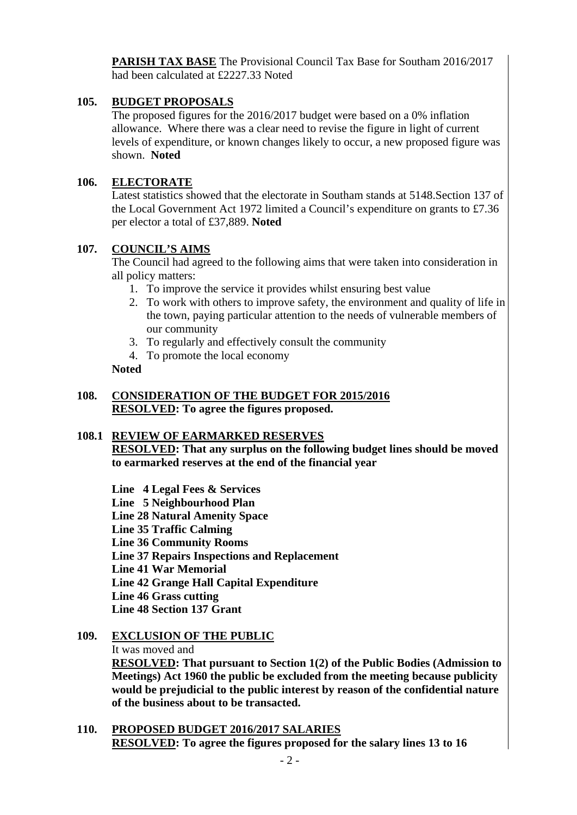**PARISH TAX BASE** The Provisional Council Tax Base for Southam 2016/2017 had been calculated at £2227.33 Noted

# **105. BUDGET PROPOSALS**

The proposed figures for the 2016/2017 budget were based on a 0% inflation allowance. Where there was a clear need to revise the figure in light of current levels of expenditure, or known changes likely to occur, a new proposed figure was shown. **Noted**

### **106. ELECTORATE**

Latest statistics showed that the electorate in Southam stands at 5148.Section 137 of the Local Government Act 1972 limited a Council's expenditure on grants to £7.36 per elector a total of £37,889. **Noted** 

### **107. COUNCIL'S AIMS**

The Council had agreed to the following aims that were taken into consideration in all policy matters:

- 1. To improve the service it provides whilst ensuring best value
- 2. To work with others to improve safety, the environment and quality of life in the town, paying particular attention to the needs of vulnerable members of our community
- 3. To regularly and effectively consult the community
- 4. To promote the local economy

#### **Noted**

#### **108. CONSIDERATION OF THE BUDGET FOR 2015/2016 RESOLVED: To agree the figures proposed.**

#### **108.1 REVIEW OF EARMARKED RESERVES**

**RESOLVED: That any surplus on the following budget lines should be moved to earmarked reserves at the end of the financial year** 

- **Line 4 Legal Fees & Services**
- **Line 5 Neighbourhood Plan**
- **Line 28 Natural Amenity Space**
- **Line 35 Traffic Calming**
- **Line 36 Community Rooms**
- **Line 37 Repairs Inspections and Replacement**
- **Line 41 War Memorial**
- **Line 42 Grange Hall Capital Expenditure**
- **Line 46 Grass cutting**

 **Line 48 Section 137 Grant** 

# **109. EXCLUSION OF THE PUBLIC**

#### It was moved and

**RESOLVED: That pursuant to Section 1(2) of the Public Bodies (Admission to Meetings) Act 1960 the public be excluded from the meeting because publicity would be prejudicial to the public interest by reason of the confidential nature of the business about to be transacted.** 

**110. PROPOSED BUDGET 2016/2017 SALARIES RESOLVED: To agree the figures proposed for the salary lines 13 to 16**